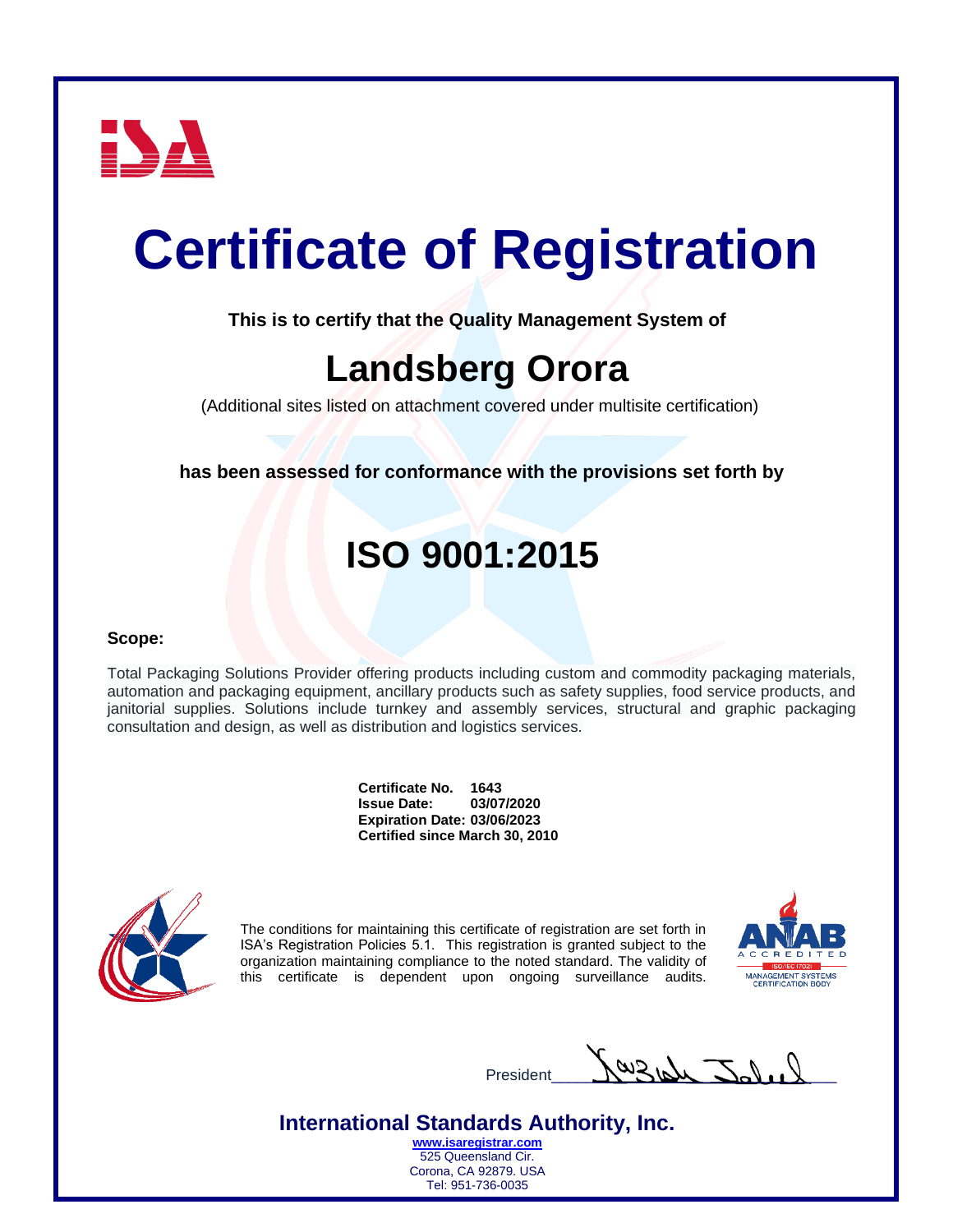

**This is to certify that the Quality Management System of**

### **Landsberg Orora**

(Additional sites listed on attachment covered under multisite certification)

**has been assessed for conformance with the provisions set forth by**

### **ISO 9001:2015**

### **Scope:**

Total Packaging Solutions Provider offering products including custom and commodity packaging materials, automation and packaging equipment, ancillary products such as safety supplies, food service products, and janitorial supplies. Solutions include turnkey and assembly services, structural and graphic packaging consultation and design, as well as distribution and logistics services.

> **Certificate No. 1643 Issue Date: Expiration Date: 03/06/2023 Certified since March 30, 2010**



The conditions for maintaining this certificate of registration are set forth in ISA's Registration Policies 5.1. This registration is granted subject to the organization maintaining compliance to the noted standard. The validity of this certificate is dependent upon ongoing surveillance audits.



 $P_{\text{resident}}$   $\mathcal{M}_{\text{2nd}}$ 

**International Standards Authority, Inc.**

**[www.isaregistrar.com](http://www.isaregistrar.com/)** 525 Queensland Cir. Corona, CA 92879. USA Tel: 951-736-0035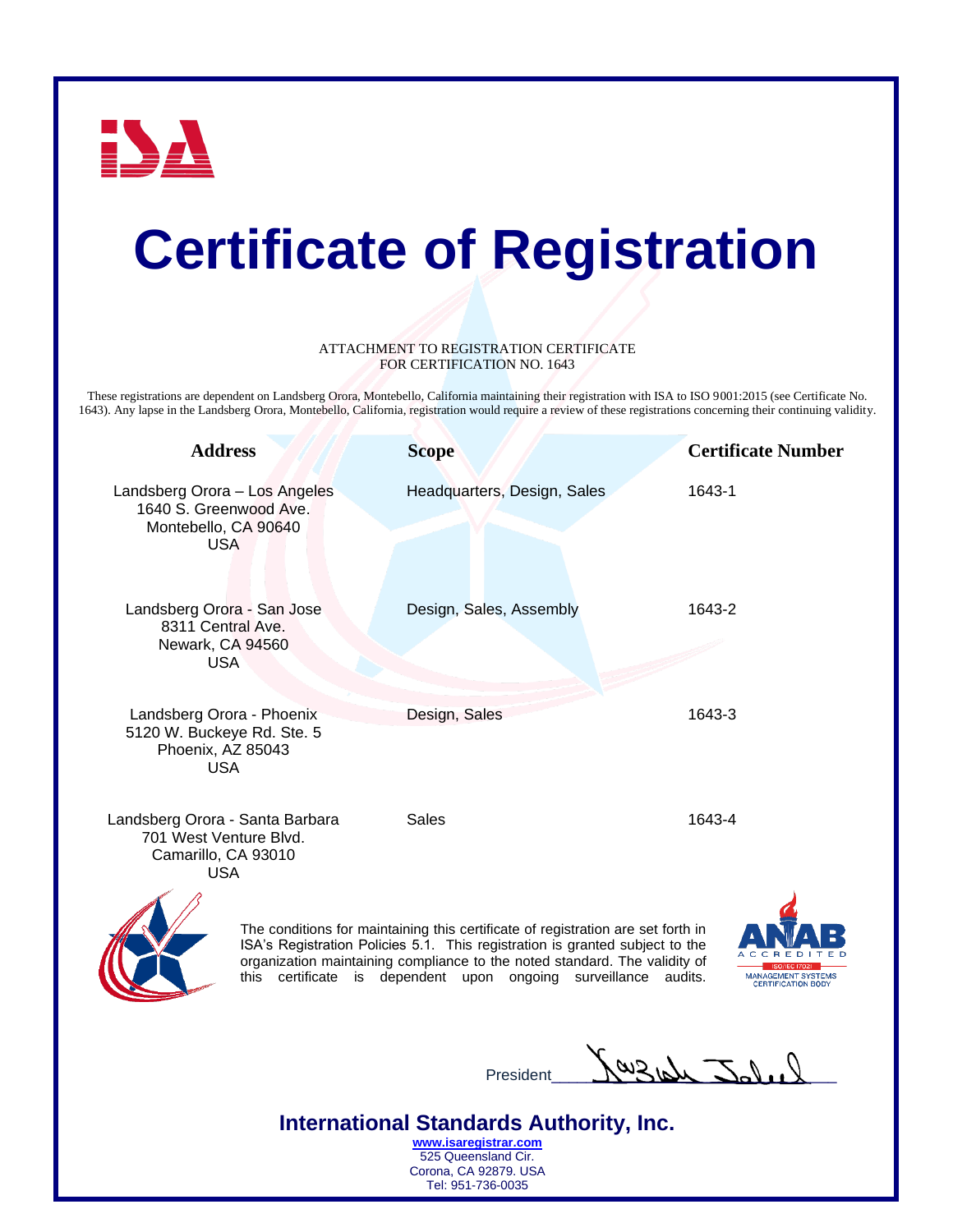

#### ATTACHMENT TO REGISTRATION CERTIFICATE FOR CERTIFICATION NO. 1643

These registrations are dependent on Landsberg Orora, Montebello, California maintaining their registration with ISA to ISO 9001:2015 (see Certificate No. 1643). Any lapse in the Landsberg Orora, Montebello, California, registration would require a review of these registrations concerning their continuing validity.

| <b>Address</b>                                                                                 | <b>Scope</b>                                                                                                                                                     | <b>Certificate Number</b> |
|------------------------------------------------------------------------------------------------|------------------------------------------------------------------------------------------------------------------------------------------------------------------|---------------------------|
| Landsberg Orora - Los Angeles<br>1640 S. Greenwood Ave.<br>Montebello, CA 90640<br><b>USA</b>  | Headquarters, Design, Sales                                                                                                                                      | 1643-1                    |
| Landsberg Orora - San Jose<br>8311 Central Ave.<br>Newark, CA 94560<br><b>USA</b>              | Design, Sales, Assembly                                                                                                                                          | 1643-2                    |
| Landsberg Orora - Phoenix<br>5120 W. Buckeye Rd. Ste. 5<br>Phoenix, AZ 85043<br><b>USA</b>     | Design, Sales                                                                                                                                                    | 1643-3                    |
| Landsberg Orora - Santa Barbara<br>701 West Venture Blvd.<br>Camarillo, CA 93010<br><b>USA</b> | <b>Sales</b>                                                                                                                                                     | 1643-4                    |
|                                                                                                | The conditions for maintaining this certificate of registration are set forth in<br>ISA's Registration Policies 5.1. This registration is granted subject to the |                           |

organization maintaining compliance to the noted standard. The validity of this certificate is dependent upon ongoing surveillance audits.



President Jay 31 Jal 1

**International Standards Authority, Inc. [www.isaregistrar.com](http://www.isaregistrar.com/)**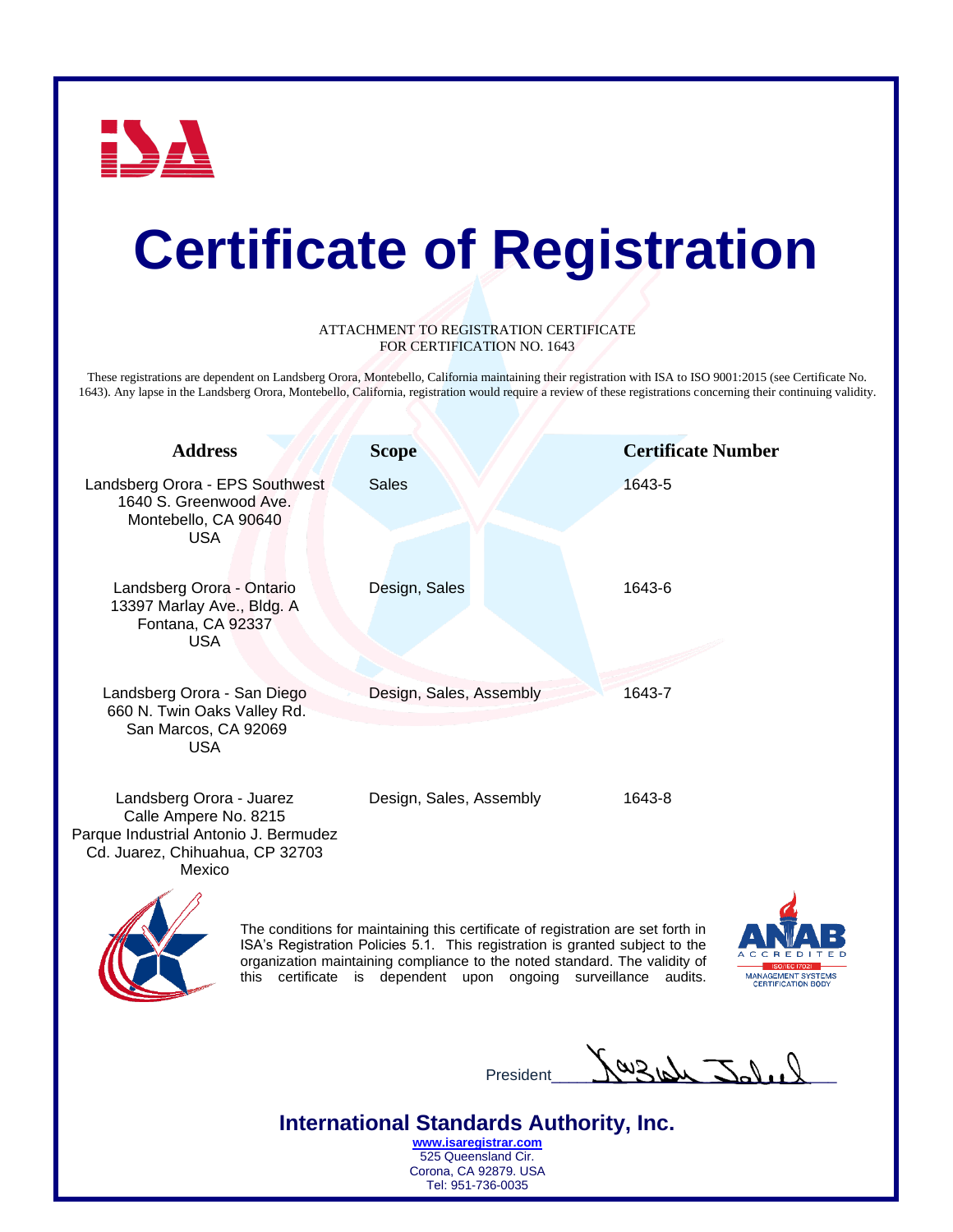

#### ATTACHMENT TO REGISTRATION CERTIFICATE FOR CERTIFICATION NO. 1643

These registrations are dependent on Landsberg Orora, Montebello, California maintaining their registration with ISA to ISO 9001:2015 (see Certificate No. 1643). Any lapse in the Landsberg Orora, Montebello, California, registration would require a review of these registrations concerning their continuing validity.

| <b>Address</b>                                                                                                                          | <b>Scope</b>            | <b>Certificate Number</b> |
|-----------------------------------------------------------------------------------------------------------------------------------------|-------------------------|---------------------------|
| Landsberg Orora - EPS Southwest<br>1640 S. Greenwood Ave.<br>Montebello, CA 90640<br><b>USA</b>                                         | <b>Sales</b>            | 1643-5                    |
| Landsberg Orora - Ontario<br>13397 Marlay Ave., Bldg. A<br>Fontana, CA 92337<br><b>USA</b>                                              | Design, Sales           | 1643-6                    |
| Landsberg Orora - San Diego<br>660 N. Twin Oaks Valley Rd.<br>San Marcos, CA 92069<br><b>USA</b>                                        | Design, Sales, Assembly | 1643-7                    |
| Landsberg Orora - Juarez<br>Calle Ampere No. 8215<br>Parque Industrial Antonio J. Bermudez<br>Cd. Juarez, Chihuahua, CP 32703<br>Mexico | Design, Sales, Assembly | 1643-8                    |
| $\overline{\phantom{a}}$                                                                                                                |                         |                           |



The conditions for maintaining this certificate of registration are set forth in ISA's Registration Policies 5.1. This registration is granted subject to the organization maintaining compliance to the noted standard. The validity of this certificate is dependent upon ongoing surveillance audits.



President  $\frac{\int \omega_3 \omega_4 \sqrt{2} \, dx}{\int \omega_3 \sqrt{2} \, dx}$ 

**International Standards Authority, Inc. [www.isaregistrar.com](http://www.isaregistrar.com/)**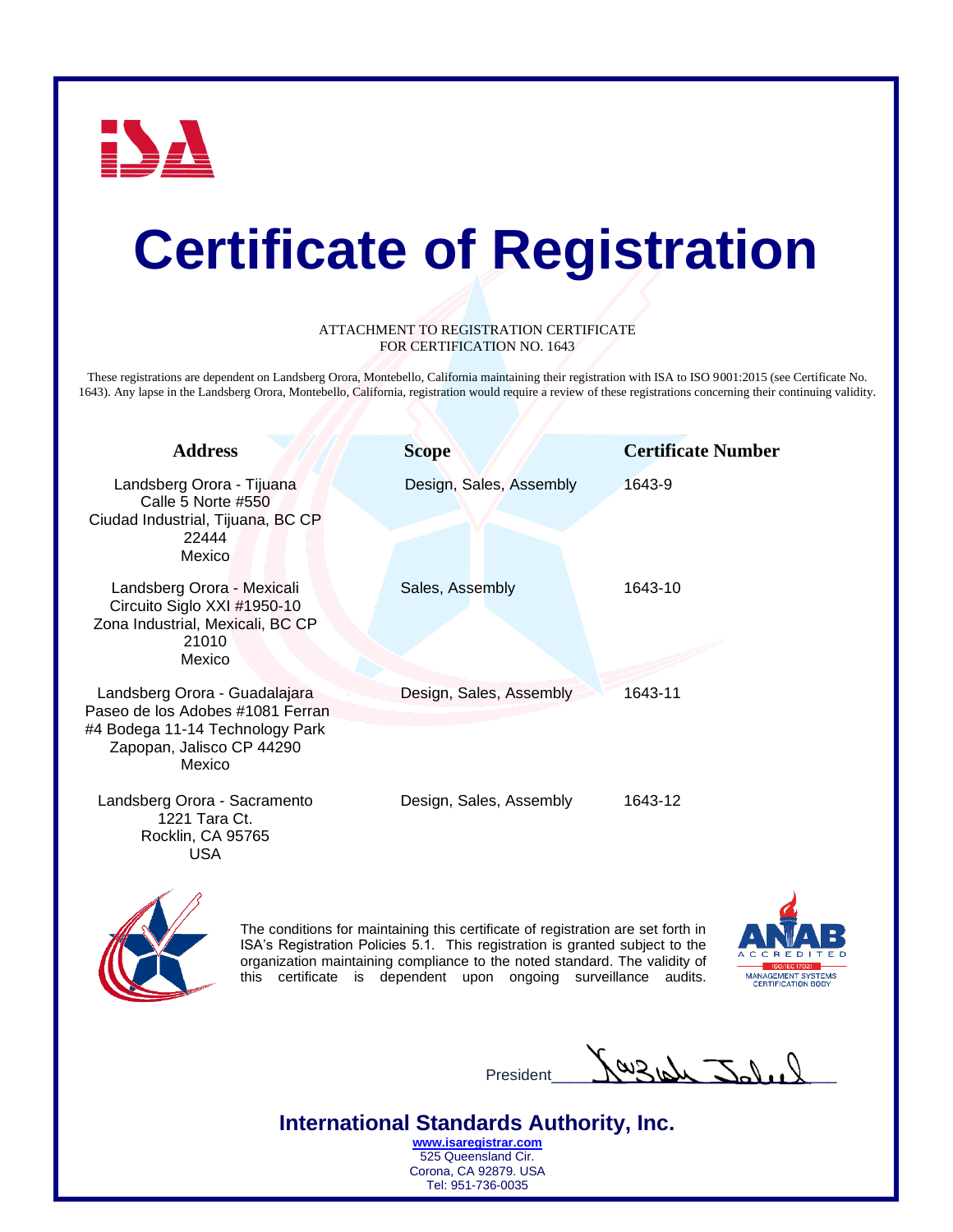

#### ATTACHMENT TO REGISTRATION CERTIFICATE FOR CERTIFICATION NO. 1643

These registrations are dependent on Landsberg Orora, Montebello, California maintaining their registration with ISA to ISO 9001:2015 (see Certificate No. 1643). Any lapse in the Landsberg Orora, Montebello, California, registration would require a review of these registrations concerning their continuing validity.

| <b>Address</b>                                                                                                                              | <b>Scope</b>            | <b>Certificate Number</b> |
|---------------------------------------------------------------------------------------------------------------------------------------------|-------------------------|---------------------------|
| Landsberg Orora - Tijuana<br>Calle 5 Norte #550<br>Ciudad Industrial, Tijuana, BC CP<br>22444<br>Mexico                                     | Design, Sales, Assembly | 1643-9                    |
| Landsberg Orora - Mexicali<br>Circuito Siglo XXI #1950-10<br>Zona Industrial, Mexicali, BC CP<br>21010<br>Mexico                            | Sales, Assembly         | 1643-10                   |
| Landsberg Orora - Guadalajara<br>Paseo de los Adobes #1081 Ferran<br>#4 Bodega 11-14 Technology Park<br>Zapopan, Jalisco CP 44290<br>Mexico | Design, Sales, Assembly | 1643-11                   |
| Landsberg Orora - Sacramento<br>1221 Tara Ct.<br>Rocklin, CA 95765<br>USA                                                                   | Design, Sales, Assembly | 1643-12                   |



The conditions for maintaining this certificate of registration are set forth in ISA's Registration Policies 5.1. This registration is granted subject to the organization maintaining compliance to the noted standard. The validity of this certificate is dependent upon ongoing surveillance audits.



President  $\bigwedge^{\omega}$  Blow  $\bigcup^{\sim}$ 

**International Standards Authority, Inc. [www.isaregistrar.com](http://www.isaregistrar.com/)**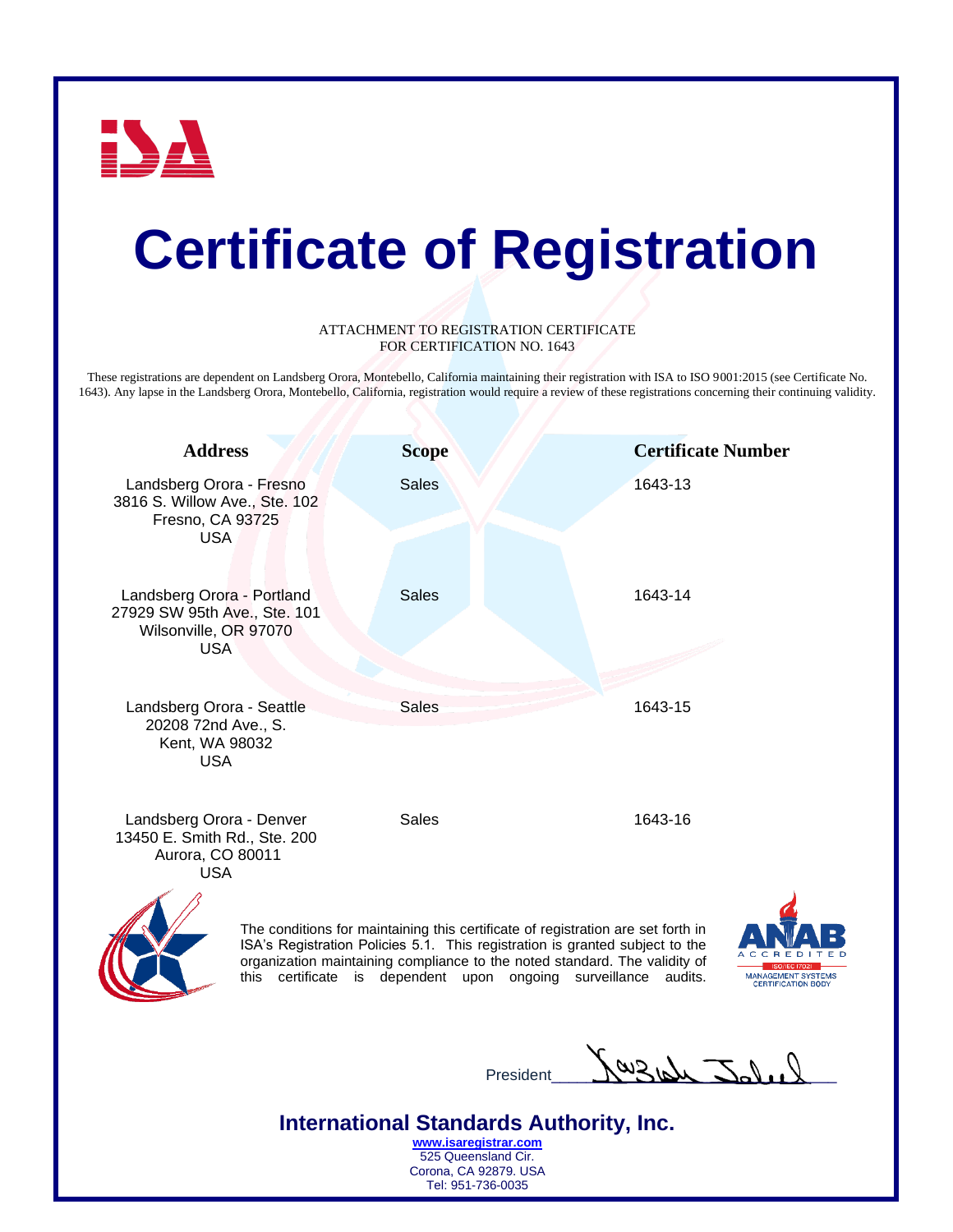

#### ATTACHMENT TO REGISTRATION CERTIFICATE FOR CERTIFICATION NO. 1643

These registrations are dependent on Landsberg Orora, Montebello, California maintaining their registration with ISA to ISO 9001:2015 (see Certificate No. 1643). Any lapse in the Landsberg Orora, Montebello, California, registration would require a review of these registrations concerning their continuing validity.

| <b>Address</b>                                                                                    | <b>Scope</b> | <b>Certificate Number</b>                                                                                                                                                                                                                                                                   |
|---------------------------------------------------------------------------------------------------|--------------|---------------------------------------------------------------------------------------------------------------------------------------------------------------------------------------------------------------------------------------------------------------------------------------------|
| Landsberg Orora - Fresno<br>3816 S. Willow Ave., Ste. 102<br>Fresno, CA 93725<br><b>USA</b>       | <b>Sales</b> | 1643-13                                                                                                                                                                                                                                                                                     |
| Landsberg Orora - Portland<br>27929 SW 95th Ave., Ste. 101<br>Wilsonville, OR 97070<br><b>USA</b> | <b>Sales</b> | 1643-14                                                                                                                                                                                                                                                                                     |
| Landsberg Orora - Seattle<br>20208 72nd Ave., S.<br>Kent, WA 98032<br><b>USA</b>                  | <b>Sales</b> | 1643-15                                                                                                                                                                                                                                                                                     |
| Landsberg Orora - Denver<br>13450 E. Smith Rd., Ste. 200<br>Aurora, CO 80011<br><b>USA</b>        | <b>Sales</b> | 1643-16                                                                                                                                                                                                                                                                                     |
|                                                                                                   |              | The conditions for maintaining this certificate of registration are set forth in<br>ISA's Registration Policies 5.1. This registration is granted subject to the<br>ACCRED<br>entropicale de ciudade de la concellación de de la contexta de la contextual. The context de la contextual de |

organization maintaining compliance to the noted standard. The validity of this certificate is dependent upon ongoing surveillance audits.



President  $\frac{\int \omega_3 \omega_4 \cdot \sum \omega_1 \cdot \nu_2}{\sum \omega_2 \cdot \nu_1}$ 

**International Standards Authority, Inc. [www.isaregistrar.com](http://www.isaregistrar.com/)**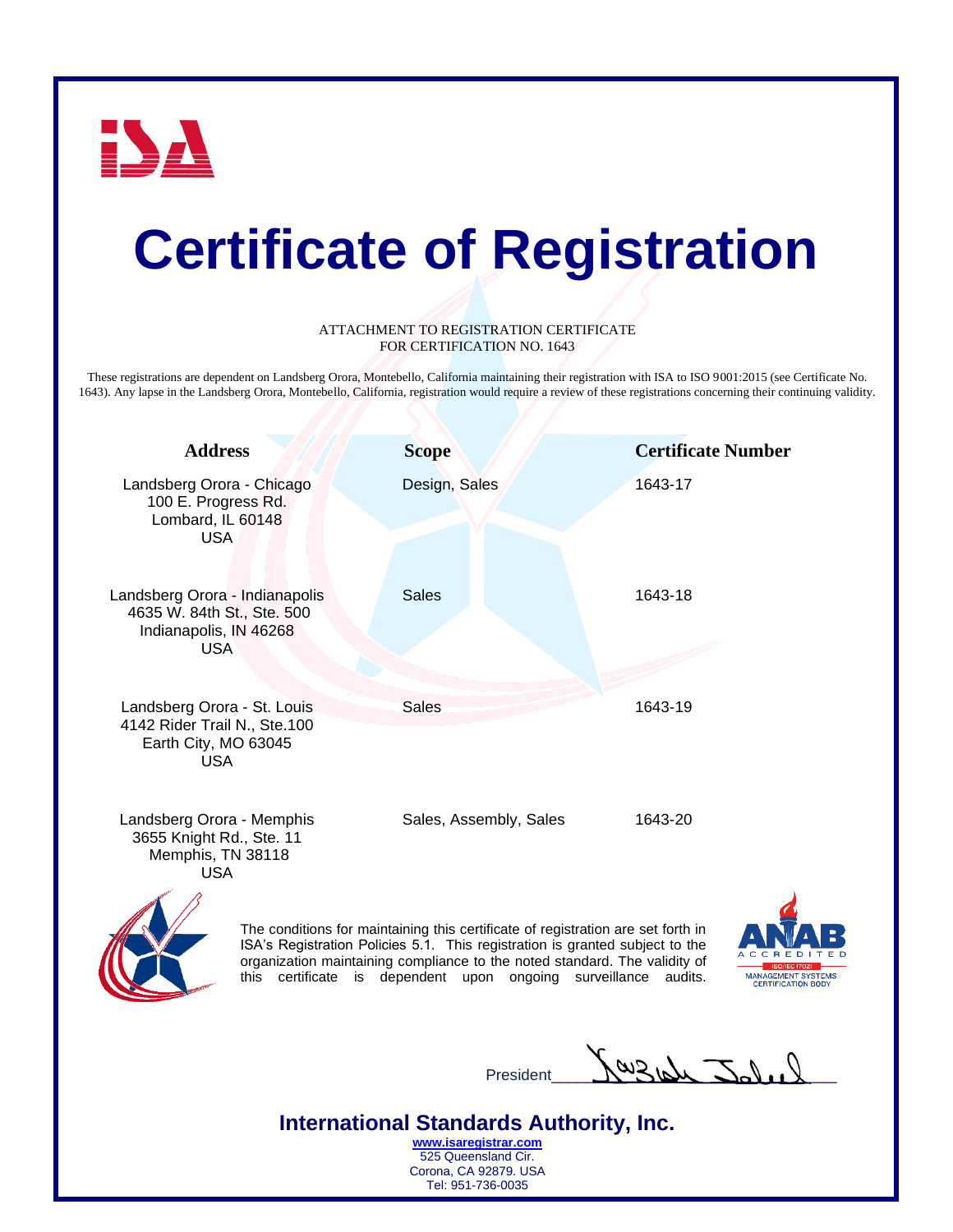

#### ATTACHMENT TO REGISTRATION CERTIFICATE FOR CERTIFICATION NO. 1643

These registrations are dependent on Landsberg Orora, Montebello, California maintaining their registration with ISA to ISO 9001:2015 (see Certificate No. 1643). Any lapse in the Landsberg Orora, Montebello, California, registration would require a review of these registrations concerning their continuing validity.

| <b>Address</b>                                                                                       | <b>Scope</b>                                                                                                                                                                                                                                                                                                 | <b>Certificate Number</b>                                  |
|------------------------------------------------------------------------------------------------------|--------------------------------------------------------------------------------------------------------------------------------------------------------------------------------------------------------------------------------------------------------------------------------------------------------------|------------------------------------------------------------|
| Landsberg Orora - Chicago<br>100 E. Progress Rd.<br>Lombard, IL 60148<br><b>USA</b>                  | Design, Sales                                                                                                                                                                                                                                                                                                | 1643-17                                                    |
| Landsberg Orora - Indianapolis<br>4635 W. 84th St., Ste. 500<br>Indianapolis, IN 46268<br><b>USA</b> | <b>Sales</b>                                                                                                                                                                                                                                                                                                 | 1643-18                                                    |
| Landsberg Orora - St. Louis<br>4142 Rider Trail N., Ste.100<br>Earth City, MO 63045<br><b>USA</b>    | <b>Sales</b>                                                                                                                                                                                                                                                                                                 | 1643-19                                                    |
| Landsberg Orora - Memphis<br>3655 Knight Rd., Ste. 11<br>Memphis, TN 38118<br><b>USA</b>             | Sales, Assembly, Sales                                                                                                                                                                                                                                                                                       | 1643-20                                                    |
|                                                                                                      | The conditions for maintaining this certificate of registration are set forth in<br>ISA's Registration Policies 5.1. This registration is granted subject to the<br>organization maintaining compliance to the noted standard. The validity of<br>this certificate is dependent upon ongoing<br>surveillance | audits.<br>MANAGEMENT SYSTEMS<br><b>CERTIFICATION BODY</b> |

President  $\bigcup_{\text{President}} \bigcup_{\text{L}} \bigcup_{\text{L}} \bigcup_{\text{L}}$ 

**International Standards Authority, Inc. [www.isaregistrar.com](http://www.isaregistrar.com/)**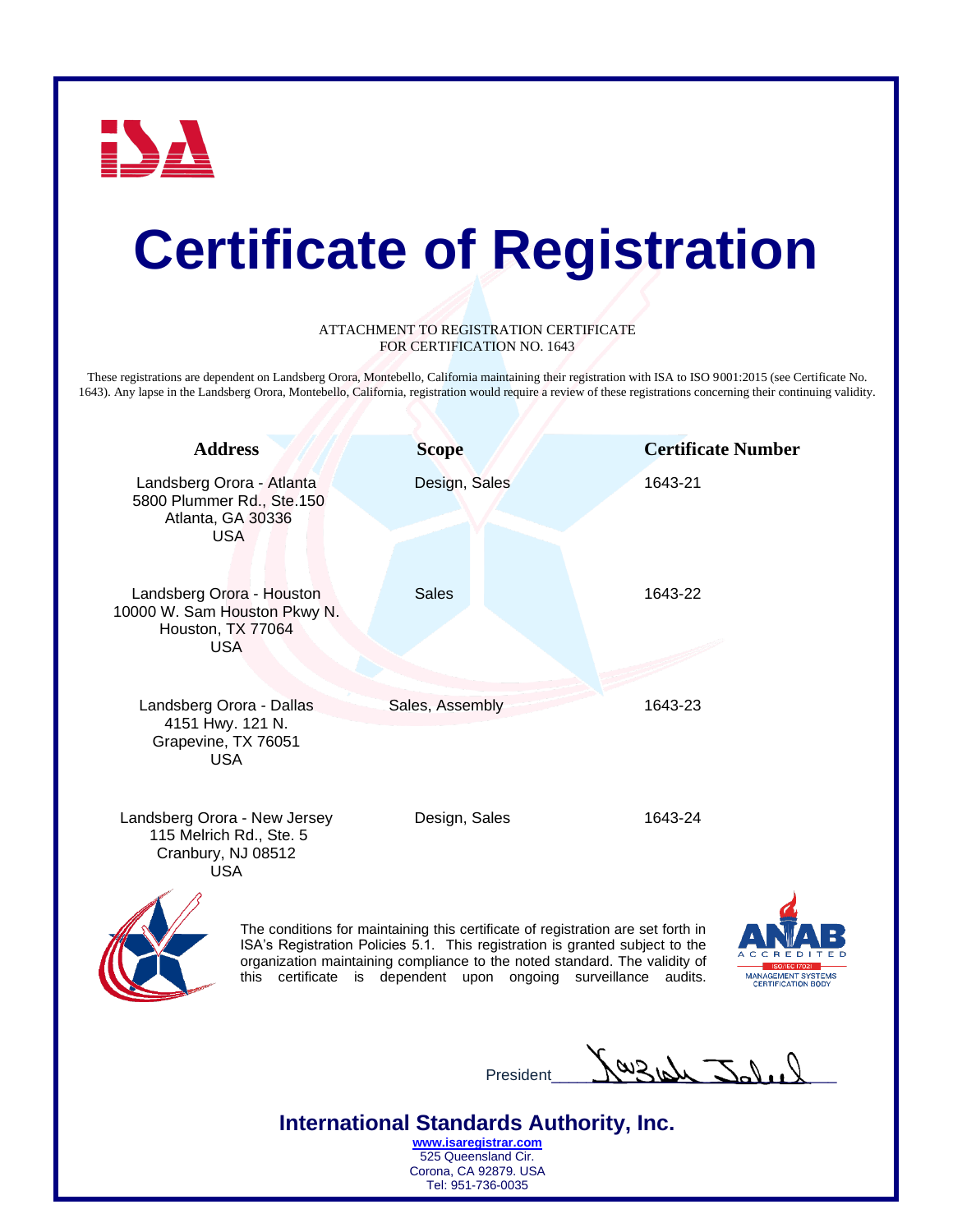

#### ATTACHMENT TO REGISTRATION CERTIFICATE FOR CERTIFICATION NO. 1643

These registrations are dependent on Landsberg Orora, Montebello, California maintaining their registration with ISA to ISO 9001:2015 (see Certificate No. 1643). Any lapse in the Landsberg Orora, Montebello, California, registration would require a review of these registrations concerning their continuing validity.

| <b>Address</b>                                                                               | <b>Scope</b>                                                                     | <b>Certificate Number</b> |
|----------------------------------------------------------------------------------------------|----------------------------------------------------------------------------------|---------------------------|
| Landsberg Orora - Atlanta<br>5800 Plummer Rd., Ste.150<br>Atlanta, GA 30336<br><b>USA</b>    | Design, Sales                                                                    | 1643-21                   |
| Landsberg Orora - Houston<br>10000 W. Sam Houston Pkwy N.<br>Houston, TX 77064<br><b>USA</b> | <b>Sales</b>                                                                     | 1643-22                   |
| Landsberg Orora - Dallas<br>4151 Hwy. 121 N.<br>Grapevine, TX 76051<br><b>USA</b>            | Sales, Assembly                                                                  | 1643-23                   |
| Landsberg Orora - New Jersey<br>115 Melrich Rd., Ste. 5<br>Cranbury, NJ 08512<br><b>USA</b>  | Design, Sales                                                                    | 1643-24                   |
|                                                                                              | The conditions for maintaining this certificate of registration are set forth in |                           |



ISA's Registration Policies 5.1. This registration is granted subject to the organization maintaining compliance to the noted standard. The validity of this certificate is dependent upon ongoing surveillance audits.



 $P_{\text{resident}}$   $\frac{\text{Sub}}{\text{Sub}}$   $\frac{\text{Sub}}{\text{Sub}}$ 

**International Standards Authority, Inc. [www.isaregistrar.com](http://www.isaregistrar.com/)**